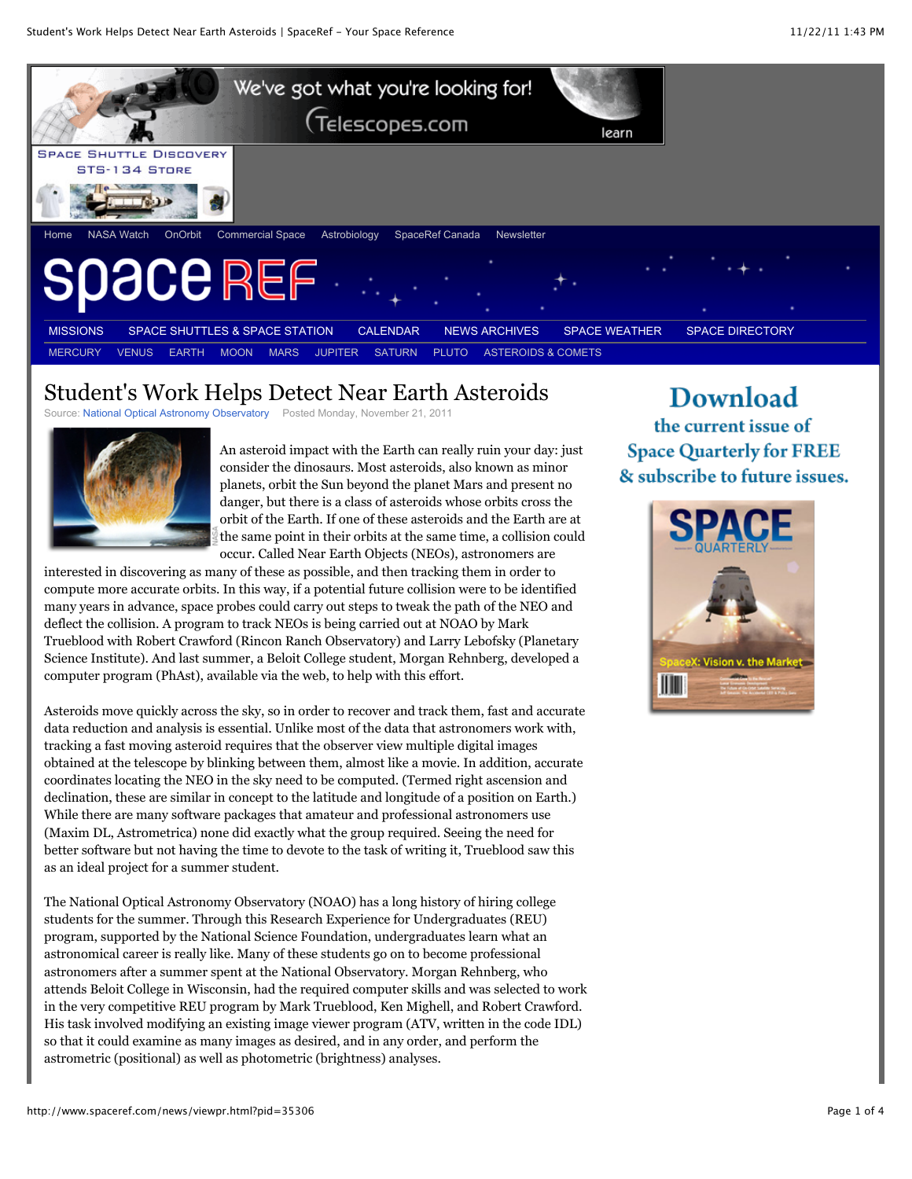

## Student's Work Helps Detect Near Earth Asteroids

Source: National Optical Astronomy Observatory Posted Monday, November 21, 2011



An asteroid impact with the Earth can really ruin your day: just consider the dinosaurs. Most asteroids, also known as minor planets, orbit the Sun beyond the planet Mars and present no danger, but there is a class of asteroids whose orbits cross the orbit of the Earth. If one of these asteroids and the Earth are at the same point in their orbits at the same time, a collision could occur. Called Near Earth Objects (NEOs), astronomers are

interested in discovering as many of these as possible, and then tracking them in order to compute more accurate orbits. In this way, if a potential future collision were to be identified many years in advance, space probes could carry out steps to tweak the path of the NEO and deflect the collision. A program to track NEOs is being carried out at NOAO by Mark Trueblood with Robert Crawford (Rincon Ranch Observatory) and Larry Lebofsky (Planetary Science Institute). And last summer, a Beloit College student, Morgan Rehnberg, developed a computer program (PhAst), available via the web, to help with this effort.

Asteroids move quickly across the sky, so in order to recover and track them, fast and accurate data reduction and analysis is essential. Unlike most of the data that astronomers work with, tracking a fast moving asteroid requires that the observer view multiple digital images obtained at the telescope by blinking between them, almost like a movie. In addition, accurate coordinates locating the NEO in the sky need to be computed. (Termed right ascension and declination, these are similar in concept to the latitude and longitude of a position on Earth.) While there are many software packages that amateur and professional astronomers use (Maxim DL, Astrometrica) none did exactly what the group required. Seeing the need for better software but not having the time to devote to the task of writing it, Trueblood saw this as an ideal project for a summer student.

The National Optical Astronomy Observatory (NOAO) has a long history of hiring college students for the summer. Through this Research Experience for Undergraduates (REU) program, supported by the National Science Foundation, undergraduates learn what an astronomical career is really like. Many of these students go on to become professional astronomers after a summer spent at the National Observatory. Morgan Rehnberg, who attends Beloit College in Wisconsin, had the required computer skills and was selected to work in the very competitive REU program by Mark Trueblood, Ken Mighell, and Robert Crawford. His task involved modifying an existing image viewer program (ATV, written in the code IDL) so that it could examine as many images as desired, and in any order, and perform the astrometric (positional) as well as photometric (brightness) analyses.

## **Download** the current issue of **Space Quarterly for FREE** & subscribe to future issues.